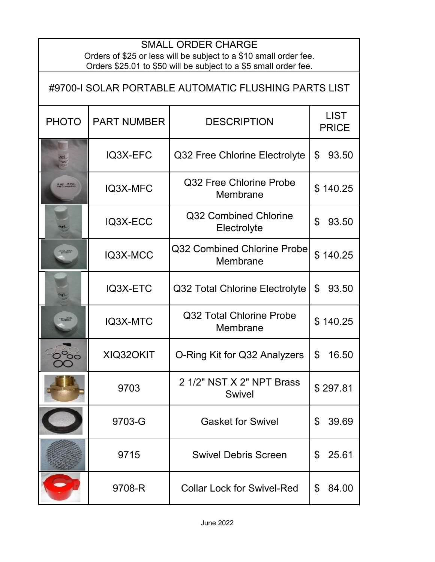| <b>SMALL ORDER CHARGE</b><br>Orders of \$25 or less will be subject to a \$10 small order fee.<br>Orders \$25.01 to \$50 will be subject to a \$5 small order fee. |                    |                                            |                             |  |  |
|--------------------------------------------------------------------------------------------------------------------------------------------------------------------|--------------------|--------------------------------------------|-----------------------------|--|--|
| #9700-I SOLAR PORTABLE AUTOMATIC FLUSHING PARTS LIST                                                                                                               |                    |                                            |                             |  |  |
| <b>PHOTO</b>                                                                                                                                                       | <b>PART NUMBER</b> | <b>DESCRIPTION</b>                         | <b>LIST</b><br><b>PRICE</b> |  |  |
|                                                                                                                                                                    | IQ3X-EFC           | Q32 Free Chlorine Electrolyte              | \$<br>93.50                 |  |  |
| 0 each 05-012                                                                                                                                                      | IQ3X-MFC           | Q32 Free Chlorine Probe<br>Membrane        | \$140.25                    |  |  |
|                                                                                                                                                                    | IQ3X-ECC           | Q32 Combined Chlorine<br>Electrolyte       | \$<br>93.50                 |  |  |
| $\frac{1}{200}$                                                                                                                                                    | IQ3X-MCC           | Q32 Combined Chlorine Probe<br>Membrane    | \$140.25                    |  |  |
|                                                                                                                                                                    | IQ3X-ETC           | Q32 Total Chlorine Electrolyte             | \$<br>93.50                 |  |  |
|                                                                                                                                                                    | IQ3X-MTC           | Q32 Total Chlorine Probe<br>Membrane       | \$140.25                    |  |  |
| ၁ဝ                                                                                                                                                                 | XIQ32OKIT          | O-Ring Kit for Q32 Analyzers               | 16.50<br>\$                 |  |  |
|                                                                                                                                                                    | 9703               | 2 1/2" NST X 2" NPT Brass<br><b>Swivel</b> | \$297.81                    |  |  |
|                                                                                                                                                                    | 9703-G             | <b>Gasket for Swivel</b>                   | 39.69<br>\$                 |  |  |
|                                                                                                                                                                    | 9715               | <b>Swivel Debris Screen</b>                | 25.61<br>\$                 |  |  |
|                                                                                                                                                                    | 9708-R             | <b>Collar Lock for Swivel-Red</b>          | 84.00<br>\$                 |  |  |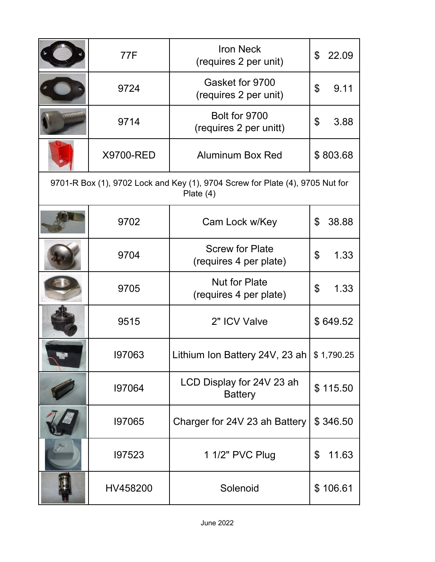|                                                                                              | <b>77F</b> | <b>Iron Neck</b><br>(requires 2 per unit)        | 22.09<br>\$ |  |  |
|----------------------------------------------------------------------------------------------|------------|--------------------------------------------------|-------------|--|--|
|                                                                                              | 9724       | Gasket for 9700<br>(requires 2 per unit)         | 9.11<br>\$  |  |  |
|                                                                                              | 9714       | Bolt for 9700<br>(requires 2 per unitt)          | \$<br>3.88  |  |  |
|                                                                                              | X9700-RED  | <b>Aluminum Box Red</b>                          | \$803.68    |  |  |
| 9701-R Box (1), 9702 Lock and Key (1), 9704 Screw for Plate (4), 9705 Nut for<br>Plate $(4)$ |            |                                                  |             |  |  |
|                                                                                              | 9702       | Cam Lock w/Key                                   | \$<br>38.88 |  |  |
|                                                                                              | 9704       | <b>Screw for Plate</b><br>(requires 4 per plate) | \$<br>1.33  |  |  |
|                                                                                              | 9705       | <b>Nut for Plate</b><br>(requires 4 per plate)   | \$<br>1.33  |  |  |
|                                                                                              | 9515       | 2" ICV Valve                                     | \$649.52    |  |  |
|                                                                                              | 197063     | Lithium Ion Battery 24V, 23 ah   $$ 1,790.25$    |             |  |  |
|                                                                                              | 197064     | LCD Display for 24V 23 ah<br><b>Battery</b>      | \$115.50    |  |  |
|                                                                                              | 197065     | Charger for 24V 23 ah Battery                    | \$346.50    |  |  |
|                                                                                              | 197523     | 1 1/2" PVC Plug                                  | \$<br>11.63 |  |  |
|                                                                                              | HV458200   | Solenoid                                         | \$106.61    |  |  |